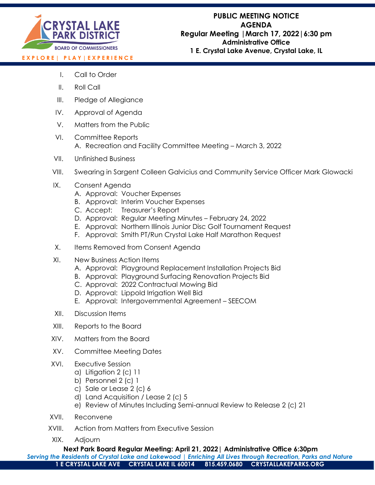

I. Call to Order

- II. Roll Call
- III. Pledge of Allegiance
- IV. Approval of Agenda
- V. Matters from the Public
- VI. Committee Reports A. Recreation and Facility Committee Meeting – March 3, 2022
- VII. Unfinished Business
- VIII. Swearing in Sargent Colleen Galvicius and Community Service Officer Mark Glowacki
- IX. Consent Agenda
	- A. Approval: Voucher Expenses
	- B. Approval: Interim Voucher Expenses
	- C. Accept: Treasurer's Report
	- D. Approval: Regular Meeting Minutes February 24, 2022
	- E. Approval: Northern Illinois Junior Disc Golf Tournament Request
	- F. Approval: Smith PT/Run Crystal Lake Half Marathon Request
- X. Items Removed from Consent Agenda
- XI. New Business Action Items
	- A. Approval: Playground Replacement Installation Projects Bid
	- B. Approval: Playground Surfacing Renovation Projects Bid
	- C. Approval: 2022 Contractual Mowing Bid
	- D. Approval: Lippold Irrigation Well Bid
	- E. Approval: Intergovernmental Agreement SEECOM
- XII. Discussion Items
- XIII. Reports to the Board
- XIV. Matters from the Board
- XV. Committee Meeting Dates
- XVI. Executive Session
	- a) Litigation 2 (c) 11
	- b) Personnel 2 (c) 1
	- c) Sale or Lease 2 (c) 6
	- d) Land Acquisition / Lease 2 (c) 5
	- e) Review of Minutes Including Semi-annual Review to Release 2 (c) 21
- XVII. Reconvene
- XVIII. Action from Matters from Executive Session
- XIX. Adjourn

**Next Park Board Regular Meeting: April 21, 2022| Administrative Office 6:30pm**